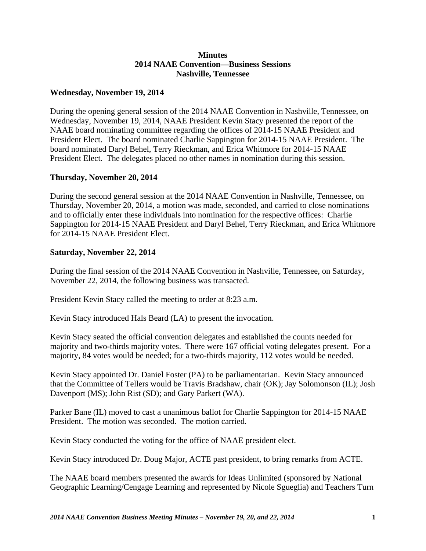## **Minutes 2014 NAAE Convention—Business Sessions Nashville, Tennessee**

## **Wednesday, November 19, 2014**

During the opening general session of the 2014 NAAE Convention in Nashville, Tennessee, on Wednesday, November 19, 2014, NAAE President Kevin Stacy presented the report of the NAAE board nominating committee regarding the offices of 2014-15 NAAE President and President Elect. The board nominated Charlie Sappington for 2014-15 NAAE President. The board nominated Daryl Behel, Terry Rieckman, and Erica Whitmore for 2014-15 NAAE President Elect. The delegates placed no other names in nomination during this session.

## **Thursday, November 20, 2014**

During the second general session at the 2014 NAAE Convention in Nashville, Tennessee, on Thursday, November 20, 2014, a motion was made, seconded, and carried to close nominations and to officially enter these individuals into nomination for the respective offices: Charlie Sappington for 2014-15 NAAE President and Daryl Behel, Terry Rieckman, and Erica Whitmore for 2014-15 NAAE President Elect.

## **Saturday, November 22, 2014**

During the final session of the 2014 NAAE Convention in Nashville, Tennessee, on Saturday, November 22, 2014, the following business was transacted.

President Kevin Stacy called the meeting to order at 8:23 a.m.

Kevin Stacy introduced Hals Beard (LA) to present the invocation.

Kevin Stacy seated the official convention delegates and established the counts needed for majority and two-thirds majority votes. There were 167 official voting delegates present. For a majority, 84 votes would be needed; for a two-thirds majority, 112 votes would be needed.

Kevin Stacy appointed Dr. Daniel Foster (PA) to be parliamentarian. Kevin Stacy announced that the Committee of Tellers would be Travis Bradshaw, chair (OK); Jay Solomonson (IL); Josh Davenport (MS); John Rist (SD); and Gary Parkert (WA).

Parker Bane (IL) moved to cast a unanimous ballot for Charlie Sappington for 2014-15 NAAE President. The motion was seconded. The motion carried.

Kevin Stacy conducted the voting for the office of NAAE president elect.

Kevin Stacy introduced Dr. Doug Major, ACTE past president, to bring remarks from ACTE.

The NAAE board members presented the awards for Ideas Unlimited (sponsored by National Geographic Learning/Cengage Learning and represented by Nicole Sgueglia) and Teachers Turn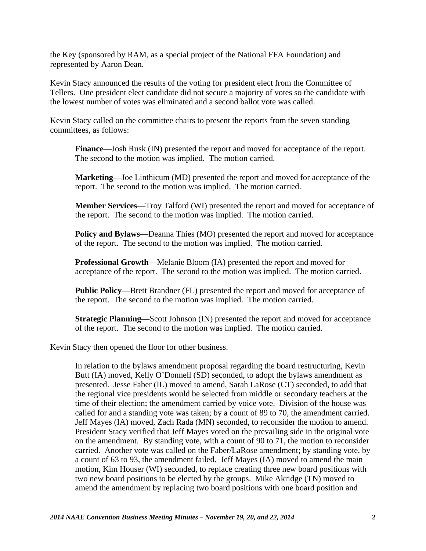the Key (sponsored by RAM, as a special project of the National FFA Foundation) and represented by Aaron Dean.

Kevin Stacy announced the results of the voting for president elect from the Committee of Tellers. One president elect candidate did not secure a majority of votes so the candidate with the lowest number of votes was eliminated and a second ballot vote was called.

Kevin Stacy called on the committee chairs to present the reports from the seven standing committees, as follows:

**Finance**—Josh Rusk (IN) presented the report and moved for acceptance of the report. The second to the motion was implied. The motion carried.

**Marketing**—Joe Linthicum (MD) presented the report and moved for acceptance of the report. The second to the motion was implied. The motion carried.

**Member Services**—Troy Talford (WI) presented the report and moved for acceptance of the report. The second to the motion was implied. The motion carried.

**Policy and Bylaws**—Deanna Thies (MO) presented the report and moved for acceptance of the report. The second to the motion was implied. The motion carried.

**Professional Growth**—Melanie Bloom (IA) presented the report and moved for acceptance of the report. The second to the motion was implied. The motion carried.

**Public Policy**—Brett Brandner (FL) presented the report and moved for acceptance of the report. The second to the motion was implied. The motion carried.

**Strategic Planning**—Scott Johnson (IN) presented the report and moved for acceptance of the report. The second to the motion was implied. The motion carried.

Kevin Stacy then opened the floor for other business.

In relation to the bylaws amendment proposal regarding the board restructuring, Kevin Butt (IA) moved, Kelly O'Donnell (SD) seconded, to adopt the bylaws amendment as presented. Jesse Faber (IL) moved to amend, Sarah LaRose (CT) seconded, to add that the regional vice presidents would be selected from middle or secondary teachers at the time of their election; the amendment carried by voice vote. Division of the house was called for and a standing vote was taken; by a count of 89 to 70, the amendment carried. Jeff Mayes (IA) moved, Zach Rada (MN) seconded, to reconsider the motion to amend. President Stacy verified that Jeff Mayes voted on the prevailing side in the original vote on the amendment. By standing vote, with a count of 90 to 71, the motion to reconsider carried. Another vote was called on the Faber/LaRose amendment; by standing vote, by a count of 63 to 93, the amendment failed. Jeff Mayes (IA) moved to amend the main motion, Kim Houser (WI) seconded, to replace creating three new board positions with two new board positions to be elected by the groups. Mike Akridge (TN) moved to amend the amendment by replacing two board positions with one board position and